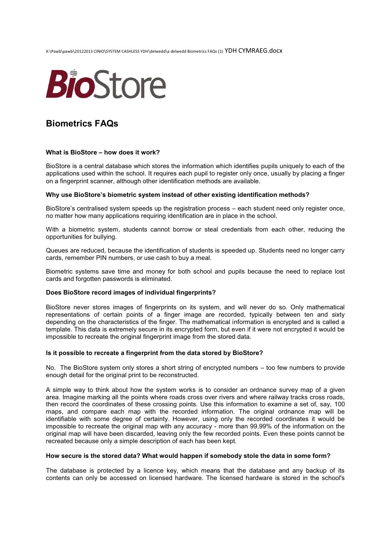X:\Pawb\pawb\20122013 CINIO\SYSTEM CASHLESS YDH\delwedd\a delwedd Biometrics FAQs (1) YDH CYMRAEG.docx



# **Biometrics FAQs**

### **What is BioStore – how does it work?**

BioStore is a central database which stores the information which identifies pupils uniquely to each of the applications used within the school. It requires each pupil to register only once, usually by placing a finger on a fingerprint scanner, although other identification methods are available.

#### **Why use BioStore's biometric system instead of other existing identification methods?**

BioStore's centralised system speeds up the registration process – each student need only register once, no matter how many applications requiring identification are in place in the school.

With a biometric system, students cannot borrow or steal credentials from each other, reducing the opportunities for bullying.

Queues are reduced, because the identification of students is speeded up. Students need no longer carry cards, remember PIN numbers, or use cash to buy a meal.

Biometric systems save time and money for both school and pupils because the need to replace lost cards and forgotten passwords is eliminated.

#### **Does BioStore record images of individual fingerprints?**

BioStore never stores images of fingerprints on its system, and will never do so. Only mathematical representations of certain points of a finger image are recorded, typically between ten and sixty depending on the characteristics of the finger. The mathematical information is encrypted and is called a template. This data is extremely secure in its encrypted form, but even if it were not encrypted it would be impossible to recreate the original fingerprint image from the stored data.

#### **Is it possible to recreate a fingerprint from the data stored by BioStore?**

No. The BioStore system only stores a short string of encrypted numbers – too few numbers to provide enough detail for the original print to be reconstructed.

A simple way to think about how the system works is to consider an ordnance survey map of a given area. Imagine marking all the points where roads cross over rivers and where railway tracks cross roads, then record the coordinates of these crossing points. Use this information to examine a set of, say, 100 maps, and compare each map with the recorded information. The original ordnance map will be identifiable with some degree of certainty. However, using only the recorded coordinates it would be impossible to recreate the original map with any accuracy - more than 99.99% of the information on the original map will have been discarded, leaving only the few recorded points. Even these points cannot be recreated because only a simple description of each has been kept.

#### **How secure is the stored data? What would happen if somebody stole the data in some form?**

The database is protected by a licence key, which means that the database and any backup of its contents can only be accessed on licensed hardware. The licensed hardware is stored in the school's